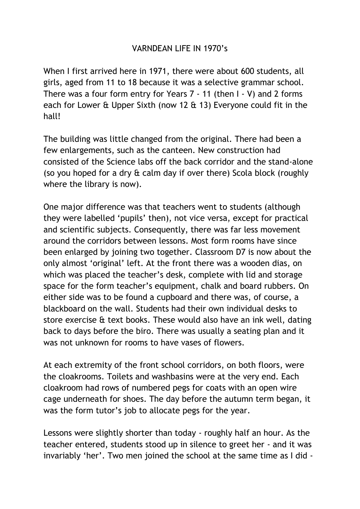## VARNDEAN LIFE IN 1970's

When I first arrived here in 1971, there were about 600 students, all girls, aged from 11 to 18 because it was a selective grammar school. There was a four form entry for Years 7 - 11 (then I - V) and 2 forms each for Lower & Upper Sixth (now 12 & 13) Everyone could fit in the hall!

The building was little changed from the original. There had been a few enlargements, such as the canteen. New construction had consisted of the Science labs off the back corridor and the stand-alone (so you hoped for a dry & calm day if over there) Scola block (roughly where the library is now).

One major difference was that teachers went to students (although they were labelled 'pupils' then), not vice versa, except for practical and scientific subjects. Consequently, there was far less movement around the corridors between lessons. Most form rooms have since been enlarged by joining two together. Classroom D7 is now about the only almost 'original' left. At the front there was a wooden dias, on which was placed the teacher's desk, complete with lid and storage space for the form teacher's equipment, chalk and board rubbers. On either side was to be found a cupboard and there was, of course, a blackboard on the wall. Students had their own individual desks to store exercise & text books. These would also have an ink well, dating back to days before the biro. There was usually a seating plan and it was not unknown for rooms to have vases of flowers.

At each extremity of the front school corridors, on both floors, were the cloakrooms. Toilets and washbasins were at the very end. Each cloakroom had rows of numbered pegs for coats with an open wire cage underneath for shoes. The day before the autumn term began, it was the form tutor's job to allocate pegs for the year.

Lessons were slightly shorter than today - roughly half an hour. As the teacher entered, students stood up in silence to greet her - and it was invariably 'her'. Two men joined the school at the same time as I did -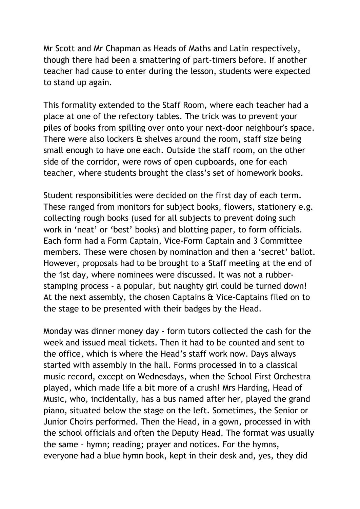Mr Scott and Mr Chapman as Heads of Maths and Latin respectively, though there had been a smattering of part-timers before. If another teacher had cause to enter during the lesson, students were expected to stand up again.

This formality extended to the Staff Room, where each teacher had a place at one of the refectory tables. The trick was to prevent your piles of books from spilling over onto your next-door neighbour's space. There were also lockers & shelves around the room, staff size being small enough to have one each. Outside the staff room, on the other side of the corridor, were rows of open cupboards, one for each teacher, where students brought the class's set of homework books.

Student responsibilities were decided on the first day of each term. These ranged from monitors for subject books, flowers, stationery e.g. collecting rough books (used for all subjects to prevent doing such work in 'neat' or 'best' books) and blotting paper, to form officials. Each form had a Form Captain, Vice-Form Captain and 3 Committee members. These were chosen by nomination and then a 'secret' ballot. However, proposals had to be brought to a Staff meeting at the end of the 1st day, where nominees were discussed. It was not a rubberstamping process - a popular, but naughty girl could be turned down! At the next assembly, the chosen Captains & Vice-Captains filed on to the stage to be presented with their badges by the Head.

Monday was dinner money day - form tutors collected the cash for the week and issued meal tickets. Then it had to be counted and sent to the office, which is where the Head's staff work now. Days always started with assembly in the hall. Forms processed in to a classical music record, except on Wednesdays, when the School First Orchestra played, which made life a bit more of a crush! Mrs Harding, Head of Music, who, incidentally, has a bus named after her, played the grand piano, situated below the stage on the left. Sometimes, the Senior or Junior Choirs performed. Then the Head, in a gown, processed in with the school officials and often the Deputy Head. The format was usually the same - hymn; reading; prayer and notices. For the hymns, everyone had a blue hymn book, kept in their desk and, yes, they did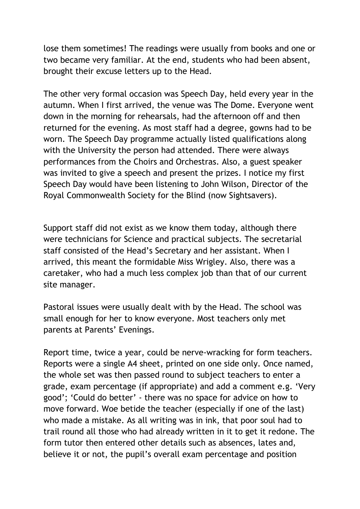lose them sometimes! The readings were usually from books and one or two became very familiar. At the end, students who had been absent, brought their excuse letters up to the Head.

The other very formal occasion was Speech Day, held every year in the autumn. When I first arrived, the venue was The Dome. Everyone went down in the morning for rehearsals, had the afternoon off and then returned for the evening. As most staff had a degree, gowns had to be worn. The Speech Day programme actually listed qualifications along with the University the person had attended. There were always performances from the Choirs and Orchestras. Also, a guest speaker was invited to give a speech and present the prizes. I notice my first Speech Day would have been listening to John Wilson, Director of the Royal Commonwealth Society for the Blind (now Sightsavers).

Support staff did not exist as we know them today, although there were technicians for Science and practical subjects. The secretarial staff consisted of the Head's Secretary and her assistant. When I arrived, this meant the formidable Miss Wrigley. Also, there was a caretaker, who had a much less complex job than that of our current site manager.

Pastoral issues were usually dealt with by the Head. The school was small enough for her to know everyone. Most teachers only met parents at Parents' Evenings.

Report time, twice a year, could be nerve-wracking for form teachers. Reports were a single A4 sheet, printed on one side only. Once named, the whole set was then passed round to subject teachers to enter a grade, exam percentage (if appropriate) and add a comment e.g. 'Very good'; 'Could do better' - there was no space for advice on how to move forward. Woe betide the teacher (especially if one of the last) who made a mistake. As all writing was in ink, that poor soul had to trail round all those who had already written in it to get it redone. The form tutor then entered other details such as absences, lates and, believe it or not, the pupil's overall exam percentage and position